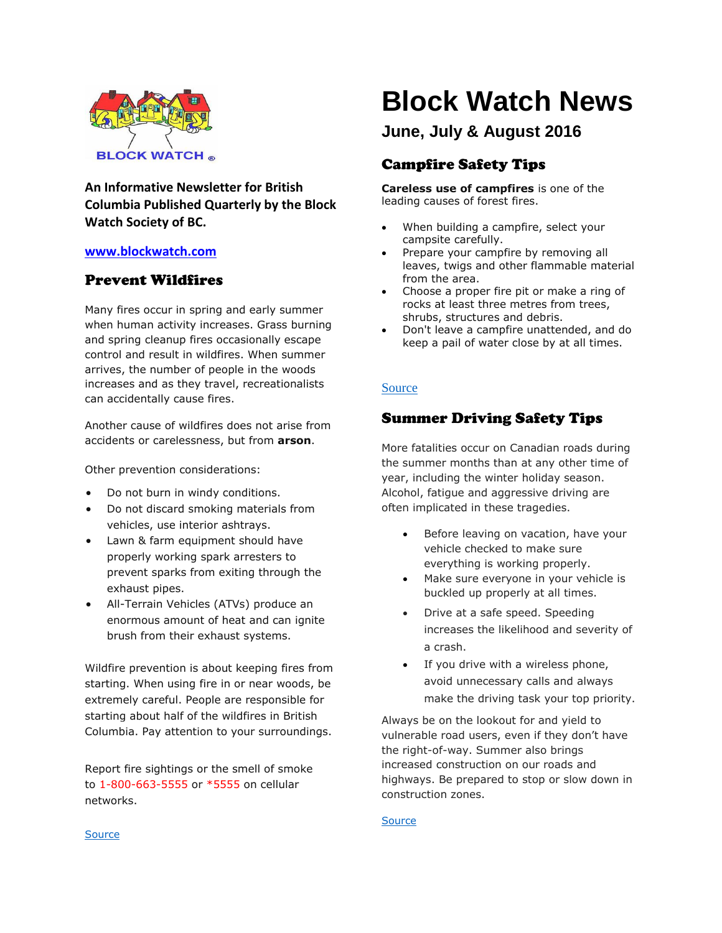

**An Informative Newsletter for British Columbia Published Quarterly by the Block Watch Society of BC.**

## **[www.blockwatch.com](http://www.blockwatch.com/)**

## Prevent Wildfires

Many fires occur in spring and early summer when human activity increases. Grass burning and spring cleanup fires occasionally escape control and result in wildfires. When summer arrives, the number of people in the woods increases and as they travel, recreationalists can accidentally cause fires.

Another cause of wildfires does not arise from accidents or carelessness, but from **arson**.

Other prevention considerations:

- Do not burn in windy conditions.
- Do not discard smoking materials from vehicles, use interior ashtrays.
- Lawn & farm equipment should have properly working spark arresters to prevent sparks from exiting through the exhaust pipes.
- All-Terrain Vehicles (ATVs) produce an enormous amount of heat and can ignite brush from their exhaust systems.

Wildfire prevention is about keeping fires from starting. When using fire in or near woods, be extremely careful. People are responsible for starting about half of the wildfires in British Columbia. Pay attention to your surroundings.

Report fire sightings or the smell of smoke to 1-800-663-5555 or \*5555 on cellular networks.

# **Block Watch News**

**June, July & August 2016**

# Campfire Safety Tips

**Careless use of campfires** is one of the leading causes of forest fires.

- When building a campfire, select your campsite carefully.
- Prepare your campfire by removing all leaves, twigs and other flammable material from the area.
- Choose a proper fire pit or make a ring of rocks at least three metres from trees, shrubs, structures and debris.
- Don't leave a campfire unattended, and do keep a pail of water close by at all times.

## [Source](http://bcwildfire.ca/Prevention/prevent_wildfires.htm)

## Summer Driving Safety Tips

More fatalities occur on Canadian roads during the summer months than at any other time of year, including the winter holiday season. Alcohol, fatigue and aggressive driving are often implicated in these tragedies.

- Before leaving on vacation, have your vehicle checked to make sure everything is working properly.
- Make sure everyone in your vehicle is buckled up properly at all times.
- Drive at a safe speed. Speeding increases the likelihood and severity of a crash.
- If you drive with a wireless phone, avoid unnecessary calls and always make the driving task your top priority.

Always be on the lookout for and yield to vulnerable road users, even if they don't have the right-of-way. Summer also brings increased construction on our roads and highways. Be prepared to stop or slow down in construction zones.

#### [Source](https://canadasafetycouncil.org/traffic-safety/driving-tips-summer-trips)

#### [Source](http://bcwildfire.ca/Prevention/prevent_wildfires.htm)